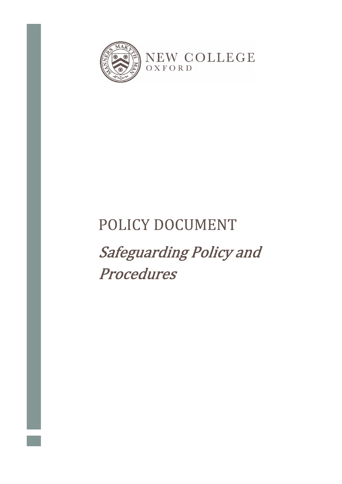

# POLICY DOCUMENT

**Safeguarding Policy and** Procedures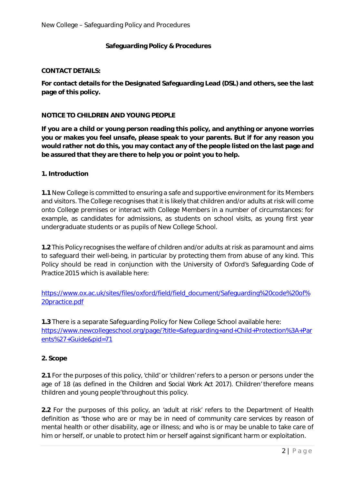## **Safeguarding Policy & Procedures**

#### **CONTACT DETAILS:**

**For contact details for the Designated Safeguarding Lead (DSL) and others, see the last page of this policy.** 

## **NOTICE TO CHILDREN AND YOUNG PEOPLE**

**If you are a child or young person reading this policy, and anything or anyone worries you or makes you feel unsafe, please speak to your parents. But if for any reason you would rather not do this, you may contact any of the people listed on the last page and be assured that they are there to help you or point you to help.** 

#### **1. Introduction**

**1.1** New College is committed to ensuring a safe and supportive environment for its Members and visitors. The College recognises that it is likely that children and/or adults at risk will come onto College premises or interact with College Members in a number of circumstances: for example, as candidates for admissions, as students on school visits, as young first year undergraduate students or as pupils of New College School.

**1.2** This Policy recognises the welfare of children and/or adults at risk as paramount and aims to safeguard their well-being, in particular by protecting them from abuse of any kind. This Policy should be read in conjunction with the University of Oxford's *Safeguarding Code of Practice 2015* which is available here*:* 

https://www.ox.ac.uk/sites/files/oxford/field/field\_document/Safeguarding%20code%20of% 20practice.pdf

**1.3** There is a separate Safeguarding Policy for New College School available here: https://www.newcollegeschool.org/page/?title=Safeguarding+and+Child+Protection%3A+Par ents%27+Guide&pid=71

## **2. Scope**

**2.1** For the purposes of this policy, 'child' or 'children' refers to a person or persons under the age of 18 (as defined in the *Children and Social Work Act 2017*). Children' therefore means 'children and young people' throughout this policy.

**2.2** For the purposes of this policy, an 'adult at risk' refers to the Department of Health definition as "those who are or may be in need of community care services by reason of mental health or other disability, age or illness; and who is or may be unable to take care of him or herself, or unable to protect him or herself against significant harm or exploitation.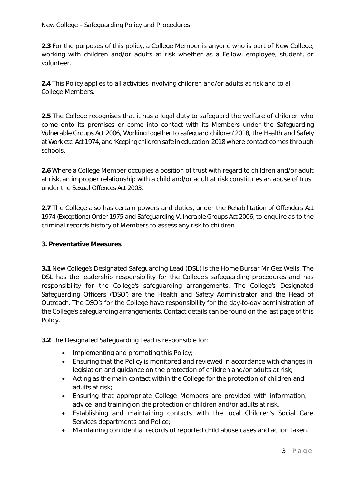**2.3** For the purposes of this policy, a College Member is anyone who is part of New College, working with children and/or adults at risk whether as a Fellow, employee, student, or volunteer.

**2.4** This Policy applies to all activities involving children and/or adults at risk and to all College Members.

**2.5** The College recognises that it has a legal duty to safeguard the welfare of children who come onto its premises or come into contact with its Members under the *Safeguarding Vulnerable Groups Act 2006, 'Working together to safeguard children' 2018*, the *Health and Safety at Work etc. Act 1974*, and '*Keeping children safe in education' 2018* where contact comes through schools.

**2.6** Where a College Member occupies a position of trust with regard to children and/or adult at risk, an improper relationship with a child and/or adult at risk constitutes an abuse of trust under the *Sexual Offences Act 2003*.

**2.7** The College also has certain powers and duties, under the *Rehabilitation of Offenders Act 1974 (Exceptions) Order 1975 and Safeguarding Vulnerable Groups Act 2006*, to enquire as to the criminal records history of Members to assess any risk to children.

## **3. Preventative Measures**

**3.1** New College's Designated Safeguarding Lead ('DSL') is the Home Bursar Mr Gez Wells. The DSL has the leadership responsibility for the College's safeguarding procedures and has responsibility for the College's safeguarding arrangements. The College's Designated Safeguarding Officers ('DSO') are the Health and Safety Administrator and the Head of Outreach. The DSO's for the College have responsibility for the day-to-day administration of the College's safeguarding arrangements. Contact details can be found on the last page of this Policy.

**3.2** The Designated Safeguarding Lead is responsible for:

- Implementing and promoting this Policy;
- Ensuring that the Policy is monitored and reviewed in accordance with changes in legislation and guidance on the protection of children and/or adults at risk;
- Acting as the main contact within the College for the protection of children and adults at risk;
- Ensuring that appropriate College Members are provided with information, advice and training on the protection of children and/or adults at risk.
- Establishing and maintaining contacts with the local Children's Social Care Services departments and Police;
- Maintaining confidential records of reported child abuse cases and action taken.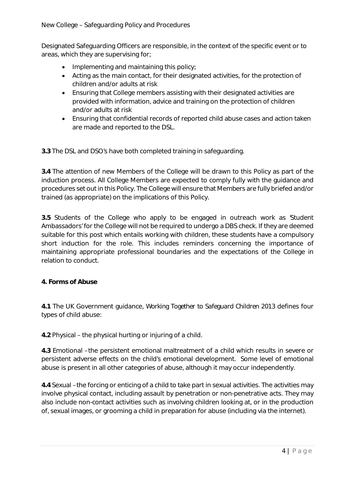Designated Safeguarding Officers are responsible, in the context of the specific event or to areas, which they are supervising for;

- $\bullet$  Implementing and maintaining this policy;
- Acting as the main contact, for their designated activities, for the protection of children and/or adults at risk
- Ensuring that College members assisting with their designated activities are provided with information, advice and training on the protection of children and/or adults at risk
- Ensuring that confidential records of reported child abuse cases and action taken are made and reported to the DSL.

**3.3** The DSL and DSO's have both completed training in safeguarding.

**3.4** The attention of new Members of the College will be drawn to this Policy as part of the induction process. All College Members are expected to comply fully with the guidance and procedures set out in this Policy. The College will ensure that Members are fully briefed and/or trained (as appropriate) on the implications of this Policy.

**3.5** Students of the College who apply to be engaged in outreach work as 'Student Ambassadors' for the College will not be required to undergo a DBS check. If they are deemed suitable for this post which entails working with children, these students have a compulsory short induction for the role. This includes reminders concerning the importance of maintaining appropriate professional boundaries and the expectations of the College in relation to conduct.

# **4. Forms of Abuse**

**4.1** The UK Government guidance, *Working Together to Safeguard Children 2013* defines four types of child abuse:

**4.2** Physical – the physical hurting or injuring of a child.

**4.3** Emotional – the persistent emotional maltreatment of a child which results in severe or persistent adverse effects on the child's emotional development. Some level of emotional abuse is present in all other categories of abuse, although it may occur independently.

**4.4** Sexual – the forcing or enticing of a child to take part in sexual activities. The activities may involve physical contact, including assault by penetration or non-penetrative acts. They may also include non-contact activities such as involving children looking at, or in the production of, sexual images, or grooming a child in preparation for abuse (including via the internet).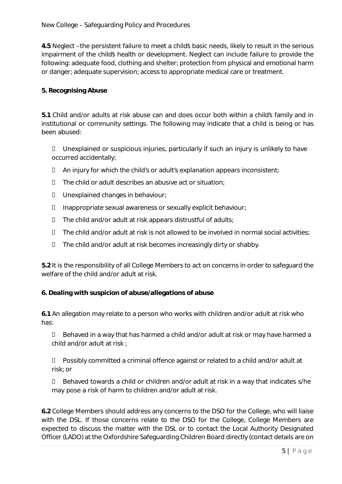**4.5** Neglect – the persistent failure to meet a child's basic needs, likely to result in the serious impairment of the childs health or development. Neglect can include failure to provide the following: adequate food, clothing and shelter; protection from physical and emotional harm or danger; adequate supervision; access to appropriate medical care or treatment.

## **5. Recognising Abuse**

**5.1** Child and/or adults at risk abuse can and does occur both within a child's family and in institutional or community settings. The following may indicate that a child is being or has been abused:

 Unexplained or suspicious injuries, particularly if such an injury is unlikely to have occurred accidentally;

- $\Box$  An injury for which the child's or adult's explanation appears inconsistent;
- $\Box$  The child or adult describes an abusive act or situation;
- Unexplained changes in behaviour;
- Inappropriate sexual awareness or sexually explicit behaviour;
- The child and/or adult at risk appears distrustful of adults;
- $\Box$  The child and/or adult at risk is not allowed to be involved in normal social activities;
- $\Box$  The child and/or adult at risk becomes increasingly dirty or shabby.

**5.2** It is the responsibility of all College Members to act on concerns in order to safeguard the welfare of the child and/or adult at risk.

## **6. Dealing with suspicion of abuse/allegations of abuse**

**6.1** An allegation may relate to a person who works with children and/or adult at risk who has:

 Behaved in a way that has harmed a child and/or adult at risk or may have harmed a child and/or adult at risk ;

 Possibly committed a criminal offence against or related to a child and/or adult at risk; or

 Behaved towards a child or children and/or adult at risk in a way that indicates s/he may pose a risk of harm to children and/or adult at risk.

**6.2** College Members should address any concerns to the DSO for the College, who will liaise with the DSL. If those concerns relate to the DSO for the College, College Members are expected to discuss the matter with the DSL or to contact the Local Authority Designated Officer (LADO) at the Oxfordshire Safeguarding Children Board directly (contact details are on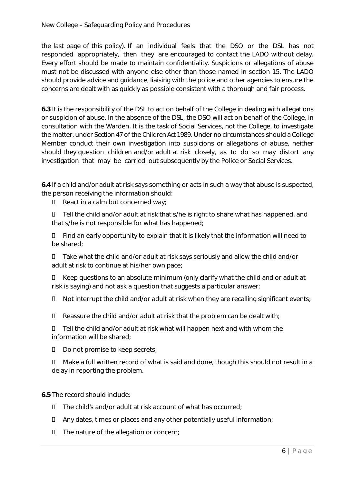the last page of this policy). If an individual feels that the DSO or the DSL has not responded appropriately, then they are encouraged to contact the LADO without delay. Every effort should be made to maintain confidentiality. Suspicions or allegations of abuse must not be discussed with anyone else other than those named in section 15. The LADO should provide advice and guidance, liaising with the police and other agencies to ensure the concerns are dealt with as quickly as possible consistent with a thorough and fair process.

**6.3** It is the responsibility of the DSL to act on behalf of the College in dealing with allegations or suspicion of abuse. In the absence of the DSL, the DSO will act on behalf of the College, in consultation with the Warden. It is the task of Social Services, not the College, to investigate the matter, under S*ection 47* of the *Children Act 1989*. Under no circumstances should a College Member conduct their own investigation into suspicions or allegations of abuse, neither should they question children and/or adult at risk closely, as to do so may distort any investigation that may be carried out subsequently by the Police or Social Services.

**6.4** If a child and/or adult at risk says something or acts in such a way that abuse is suspected, the person receiving the information should:

 $\Box$  React in a calm but concerned way;

 Tell the child and/or adult at risk that s/he is right to share what has happened, and that s/he is not responsible for what has happened;

 $\Box$  Find an early opportunity to explain that it is likely that the information will need to be shared;

 Take what the child and/or adult at risk says seriously and allow the child and/or adult at risk to continue at his/her own pace;

 Keep questions to an absolute minimum (only clarify what the child and or adult at risk is saying) and not ask a question that suggests a particular answer;

 $\Box$  Not interrupt the child and/or adult at risk when they are recalling significant events;

 $\Box$  Reassure the child and/or adult at risk that the problem can be dealt with;

 $\Box$  Tell the child and/or adult at risk what will happen next and with whom the information will be shared;

D Do not promise to keep secrets;

 Make a full written record of what is said and done, though this should not result in a delay in reporting the problem.

**6.5** The record should include:

- The child's and/or adult at risk account of what has occurred;
- $\Box$  Any dates, times or places and any other potentially useful information;
- $\Box$  The nature of the allegation or concern;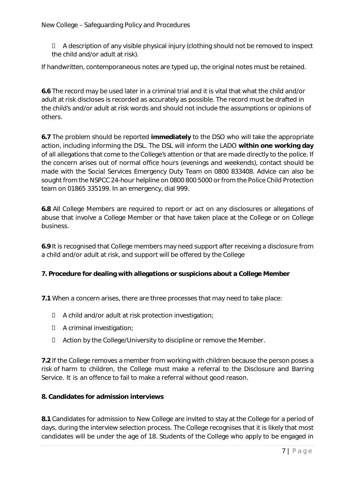New College – Safeguarding Policy and Procedures

 A description of any visible physical injury (clothing should not be removed to inspect the child and/or adult at risk).

If handwritten, contemporaneous notes are typed up, the original notes must be retained.

**6.6** The record may be used later in a criminal trial and it is vital that what the child and/or adult at risk discloses is recorded as accurately as possible. The record must be drafted in the child's and/or adult at risk words and should not include the assumptions or opinions of others.

**6.7** The problem should be reported **immediately** to the DSO who will take the appropriate action, including informing the DSL. The DSL will inform the LADO **within one working day** of all allegations that come to the College's attention or that are made directly to the police. If the concern arises out of normal office hours (evenings and weekends), contact should be made with the Social Services Emergency Duty Team on 0800 833408. Advice can also be sought from the NSPCC 24-hour helpline on 0800 800 5000 or from the Police Child Protection team on 01865 335199. In an emergency, dial 999.

**6.8** All College Members are required to report or act on any disclosures or allegations of abuse that involve a College Member or that have taken place at the College or on College business.

**6.9** It is recognised that College members may need support after receiving a disclosure from a child and/or adult at risk, and support will be offered by the College

## **7. Procedure for dealing with allegations or suspicions about a College Member**

**7.1** When a concern arises, there are three processes that may need to take place:

- A child and/or adult at risk protection investigation;
- A criminal investigation;
- Action by the College/University to discipline or remove the Member.

**7.2** If the College removes a member from working with children because the person poses a risk of harm to children, the College must make a referral to the Disclosure and Barring Service. It is an offence to fail to make a referral without good reason.

#### **8. Candidates for admission interviews**

**8.1** Candidates for admission to New College are invited to stay at the College for a period of days, during the interview selection process. The College recognises that it is likely that most candidates will be under the age of 18. Students of the College who apply to be engaged in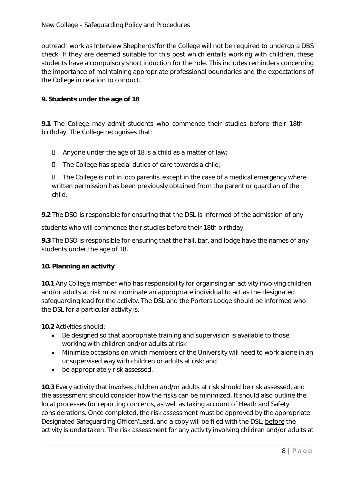outreach work as Interview Shepherds' for the College will not be required to undergo a DBS check. If they are deemed suitable for this post which entails working with children, these students have a compulsory short induction for the role. This includes reminders concerning the importance of maintaining appropriate professional boundaries and the expectations of the College in relation to conduct.

# **9. Students under the age of 18**

**9.1** The College may admit students who commence their studies before their 18th birthday. The College recognises that:

- $\Box$  Anyone under the age of 18 is a child as a matter of law;
- $\square$  The College has special duties of care towards a child;

 The College is not *in loco parentis*, except in the case of a medical emergency where written permission has been previously obtained from the parent or guardian of the child.

**9.2** The DSO is responsible for ensuring that the DSL is informed of the admission of any

students who will commence their studies before their 18th birthday.

**9.3** The DSO is responsible for ensuring that the hall, bar, and lodge have the names of any students under the age of 18.

## **10. Planning an activity**

**10.1** Any College member who has responsibility for orgainsing an activity involving children and/or adults at risk must nominate an appropriate individual to act as the designated safeguarding lead for the activity. The DSL and the Porters Lodge should be informed who the DSL for a particular activity is.

**10.2** Activities should:

- Be designed so that appropriate training and supervision is available to those working with children and/or adults at risk
- Minimise occasions on which members of the University will need to work alone in an unsupervised way with children or adults at risk; and
- be appropriately risk assessed.

**10.3** Every activity that involves children and/or adults at risk should be risk assessed, and the assessment should consider how the risks can be minimized. It should also outline the local processes for reporting concerns, as well as taking account of Heath and Safety considerations. Once completed, the risk assessment must be approved by the appropriate Designated Safeguarding Officer/Lead, and a copy will be filed with the DSL, before the activity is undertaken. The risk assessment for any activity involving children and/or adults at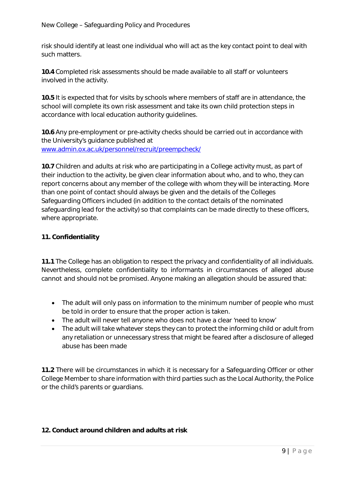risk should identify at least one individual who will act as the key contact point to deal with such matters.

**10.4** Completed risk assessments should be made available to all staff or volunteers involved in the activity.

**10.5** It is expected that for visits by schools where members of staff are in attendance, the school will complete its own risk assessment and take its own child protection steps in accordance with local education authority guidelines.

**10.6** Any pre-employment or pre-activity checks should be carried out in accordance with the University's guidance published at www.admin.ox.ac.uk/personnel/recruit/preempcheck/

**10.7** Children and adults at risk who are participating in a College activity must, as part of their induction to the activity, be given clear information about who, and to who, they can report concerns about any member of the college with whom they will be interacting. More than one point of contact should always be given and the details of the Colleges Safeguarding Officers included (in addition to the contact details of the nominated safeguarding lead for the activity) so that complaints can be made directly to these officers, where appropriate.

# **11. Confidentiality**

**11.1** The College has an obligation to respect the privacy and confidentiality of all individuals. Nevertheless, complete confidentiality to informants in circumstances of alleged abuse cannot and should not be promised. Anyone making an allegation should be assured that:

- The adult will only pass on information to the minimum number of people who must be told in order to ensure that the proper action is taken.
- The adult will never tell anyone who does not have a clear 'need to know'
- The adult will take whatever steps they can to protect the informing child or adult from any retaliation or unnecessary stress that might be feared after a disclosure of alleged abuse has been made

**11.2** There will be circumstances in which it is necessary for a Safeguarding Officer or other College Member to share information with third parties such as the Local Authority, the Police or the child's parents or guardians.

## **12. Conduct around children and adults at risk**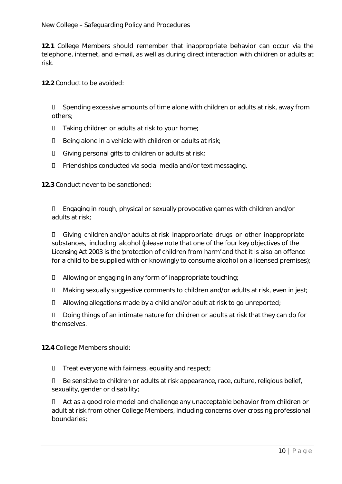**12.1** College Members should remember that inappropriate behavior can occur via the telephone, internet, and e-mail, as well as during direct interaction with children or adults at risk.

**12.2** Conduct to be avoided:

 Spending excessive amounts of time alone with children or adults at risk, away from others;

- $\Box$  Taking children or adults at risk to your home;
- $\square$  Being alone in a vehicle with children or adults at risk;
- Giving personal gifts to children or adults at risk;
- Friendships conducted via social media and/or text messaging.

**12.3** Conduct never to be sanctioned:

 Engaging in rough, physical or sexually provocative games with children and/or adults at risk;

 Giving children and/or adults at risk inappropriate drugs or other inappropriate substances, including alcohol (please note that one of the four key objectives of the *Licensing Act 2003* is the 'protection of children from harm' and that it is also an offence for a child to be supplied with or knowingly to consume alcohol on a licensed premises);

- Allowing or engaging in any form of inappropriate touching;
- $\Box$  Making sexually suggestive comments to children and/or adults at risk, even in jest;
- Allowing allegations made by a child and/or adult at risk to go unreported;

D Doing things of an intimate nature for children or adults at risk that they can do for themselves.

**12.4** College Members should:

 $\Box$  Treat everyone with fairness, equality and respect;

 $\Box$  Be sensitive to children or adults at risk appearance, race, culture, religious belief, sexuality, gender or disability;

□ Act as a good role model and challenge any unacceptable behavior from children or adult at risk from other College Members, including concerns over crossing professional boundaries;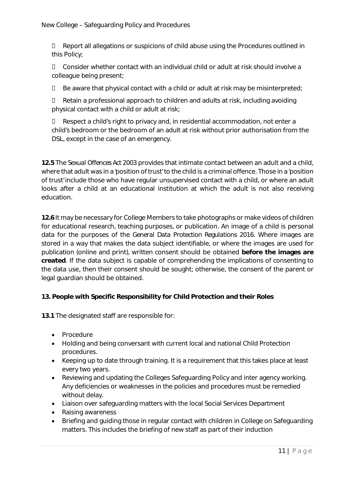Report all allegations or suspicions of child abuse using the Procedures outlined in this Policy;

 $\Box$  Consider whether contact with an individual child or adult at risk should involve a colleague being present;

 $\Box$  Be aware that physical contact with a child or adult at risk may be misinterpreted;

 Retain a professional approach to children and adults at risk, including avoiding physical contact with a child or adult at risk;

 Respect a child's right to privacy and, in residential accommodation, not enter a child's bedroom or the bedroom of an adult at risk without prior authorisation from the DSL, except in the case of an emergency.

**12.5** The *Sexual Offences Act 2003* provides that intimate contact between an adult and a child, where that adult was in a 'position of trust' to the child is a criminal offence. Those in a 'position of trust' include those who have regular unsupervised contact with a child, or where an adult looks after a child at an educational institution at which the adult is not also receiving education.

**12.6** It may be necessary for College Members to take photographs or make videos of children for educational research, teaching purposes, or publication. An image of a child is personal data for the purposes of the *General Data Protection Regulations 2016*. Where images are stored in a way that makes the data subject identifiable, or where the images are used for publication (online and print), written consent should be obtained **before the images are created**. If the data subject is capable of comprehending the implications of consenting to the data use, then their consent should be sought; otherwise, the consent of the parent or legal guardian should be obtained.

## **13. People with Specific Responsibility for Child Protection and their Roles**

**13.1** The designated staff are responsible for:

- Procedure
- Holding and being conversant with current local and national Child Protection procedures.
- Keeping up to date through training. It is a requirement that this takes place at least every two years.
- Reviewing and updating the Colleges Safeguarding Policy and inter agency working. Any deficiencies or weaknesses in the policies and procedures must be remedied without delay.
- Liaison over safeguarding matters with the local Social Services Department
- Raising awareness
- Briefing and guiding those in regular contact with children in College on Safeguarding matters. This includes the briefing of new staff as part of their induction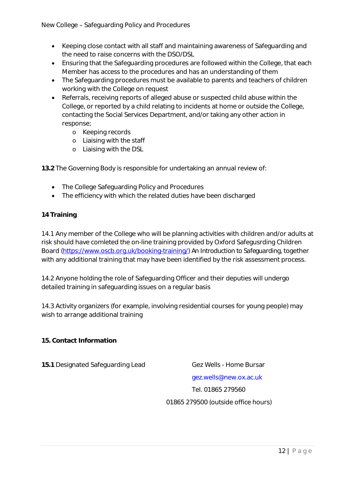- Keeping close contact with all staff and maintaining awareness of Safeguarding and the need to raise concerns with the DSO/DSL
- Ensuring that the Safeguarding procedures are followed within the College, that each Member has access to the procedures and has an understanding of them
- The Safeguarding procedures must be available to parents and teachers of children working with the College on request
- Referrals, receiving reports of alleged abuse or suspected child abuse within the College, or reported by a child relating to incidents at home or outside the College, contacting the Social Services Department, and/or taking any other action in response;
	- o Keeping records
	- o Liaising with the staff
	- o Liaising with the DSL

**13.2** The Governing Body is responsible for undertaking an annual review of:

- The College Safeguarding Policy and Procedures
- The efficiency with which the related duties have been discharged

## **14 Training**

14.1 Any member of the College who will be planning activities with children and/or adults at risk should have comleted the on-line training provided by Oxford Safegusrding Children Board (https://www.oscb.org.uk/booking-training/) *An Introduction to Safeguarding,* together with any additional training that may have been identified by the risk assessment process.

14.2 Anyone holding the role of Safeguarding Officer and their deputies will undergo detailed training in safeguarding issues on a regular basis

14.3 Activity organizers (for example, involving residential courses for young people) may wish to arrange additional training

#### **15. Contact Information**

**15.1** Designated Safeguarding Lead Gez Wells - Home Bursar

gez.wells@new.ox.ac.uk

Tel. 01865 279560

01865 279500 (outside office hours)